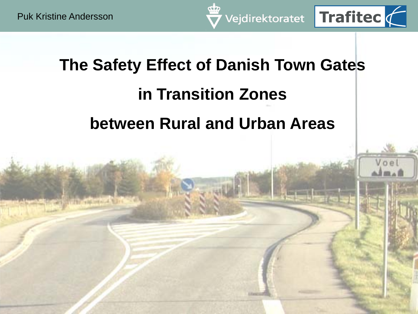**The Safety Effect of Danish Town Gates in Transition Zones between Rural and Urban Areas**

Vejdirektoratet Trafitec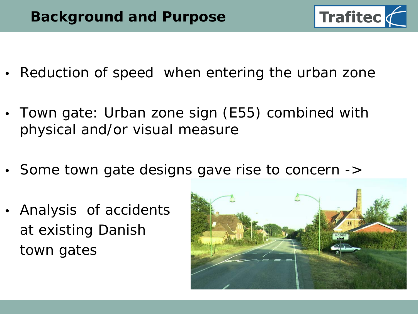

- Reduction of speed when entering the urban zone
- Town gate: Urban zone sign (E55) combined with physical and/or visual measure
- Some town gate designs gave rise to concern ->
- Analysis of accidents at existing Danish town gates

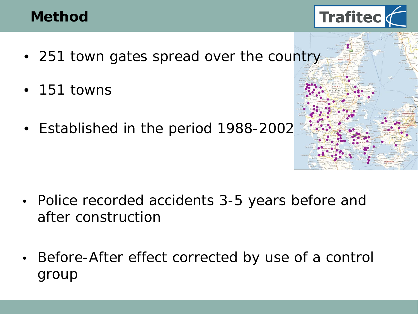## **Method**

- 
- 251 town gates spread over the country
- 151 towns
- Established in the period 1988-2002



**Trafitec** 

- Police recorded accidents 3-5 years before and after construction
- Before-After effect corrected by use of a control group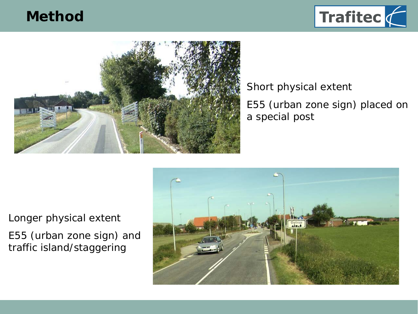## **Method**





#### Short physical extent E55 (urban zone sign) placed on a special post

Longer physical extent E55 (urban zone sign) and traffic island/staggering

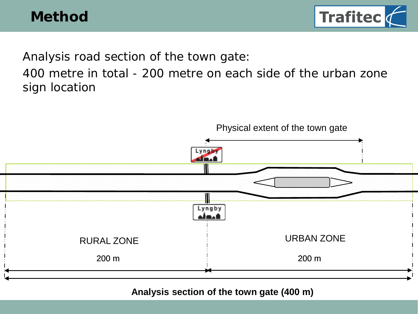

Analysis road section of the town gate:

400 metre in total - 200 metre on each side of the urban zone sign location



**Byportens analysestrækning (400 m) Analysis section of the town gate (400 m)**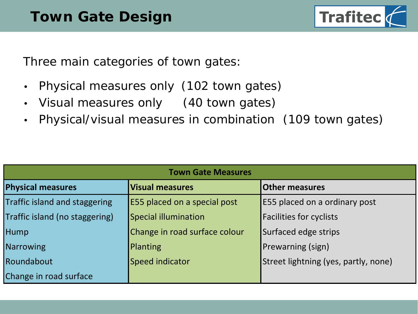

Three main categories of town gates:

- Physical measures only (102 town gates)
- Visual measures only (40 town gates)
- Physical/visual measures in combination (109 town gates)

| <b>Town Gate Measures</b>      |                               |                                      |  |  |  |  |  |
|--------------------------------|-------------------------------|--------------------------------------|--|--|--|--|--|
| <b>Physical measures</b>       | <b>Visual measures</b>        | <b>Other measures</b>                |  |  |  |  |  |
| Traffic island and staggering  | E55 placed on a special post  | <b>E55 placed on a ordinary post</b> |  |  |  |  |  |
| Traffic island (no staggering) | Special illumination          | <b>Facilities for cyclists</b>       |  |  |  |  |  |
| Hump                           | Change in road surface colour | Surfaced edge strips                 |  |  |  |  |  |
| Narrowing                      | Planting                      | <b>Prewarning (sign)</b>             |  |  |  |  |  |
| Roundabout                     | Speed indicator               | Street lightning (yes, partly, none) |  |  |  |  |  |
| Change in road surface         |                               |                                      |  |  |  |  |  |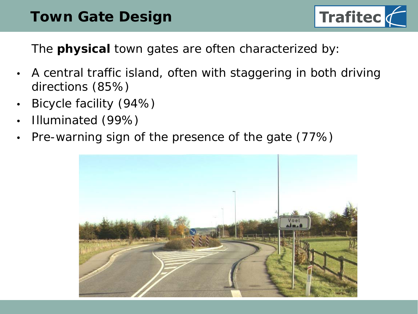## **Town Gate Design**



The *physical town gates* are often characterized by:

- A central traffic island, often with staggering in both driving directions (85%)
- Bicycle facility (94%)
- Illuminated (99%)
- Pre-warning sign of the presence of the gate (77%)

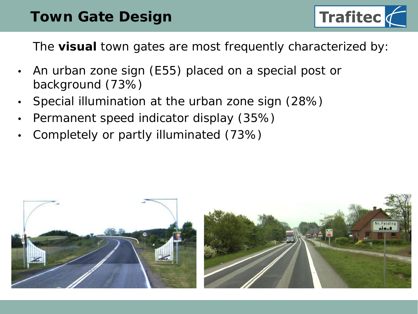## **Town Gate Design**



The *visual town gates* are most frequently characterized by:

- An urban zone sign (E55) placed on a special post or background (73%)
- Special illumination at the urban zone sign (28%)
- Permanent speed indicator display (35%)
- Completely or partly illuminated (73%)

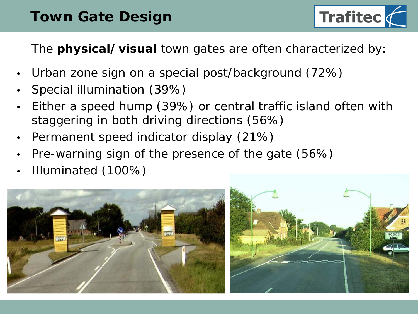# **Town Gate Design**



## The *physical/visual town gates* are often characterized by:

- Urban zone sign on a special post/background (72%)
- Special illumination (39%)
- Either a speed hump (39%) or central traffic island often with staggering in both driving directions (56%)
- Permanent speed indicator display (21%)
- Pre-warning sign of the presence of the gate (56%)
- Illuminated (100%)

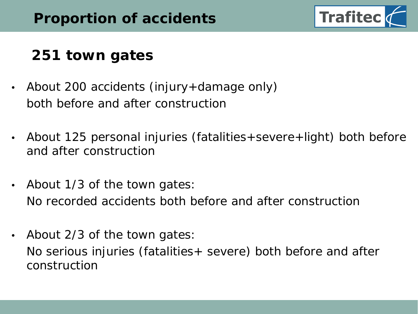

# **251 town gates**

- About 200 accidents (injury+damage only) both before and after construction
- About 125 personal injuries (fatalities+severe+light) both before and after construction
- About 1/3 of the town gates: No recorded accidents both before and after construction
- About 2/3 of the town gates:

No serious injuries (fatalities+ severe) both before and after construction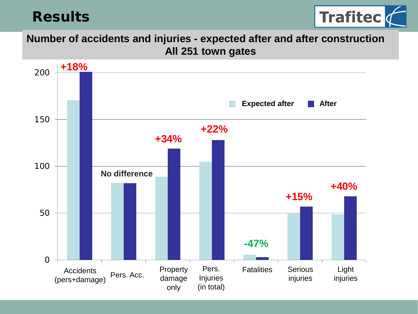## **Results**



**Number of accidents and injuries - expected after and after construction All 251 town gates**

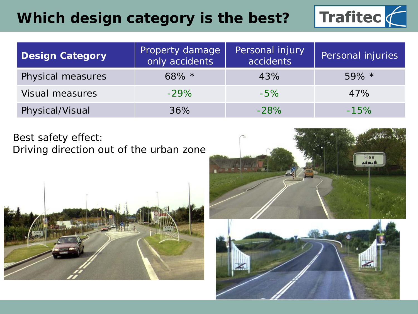## **Which design category is the best?**



| <b>Design Category</b> | Property damage<br>only accidents | Personal injury<br>accidents | Personal injuries |  |  |
|------------------------|-----------------------------------|------------------------------|-------------------|--|--|
| Physical measures      | $68\%$ *                          | 43%                          | $59\%$ *          |  |  |
| <b>Visual measures</b> | $-29\%$                           | $-5\%$                       | 47%               |  |  |
| Physical/Visual        | 36%                               | $-28%$                       | $-15%$            |  |  |

Best safety effect: Driving direction *out* of the urban zone





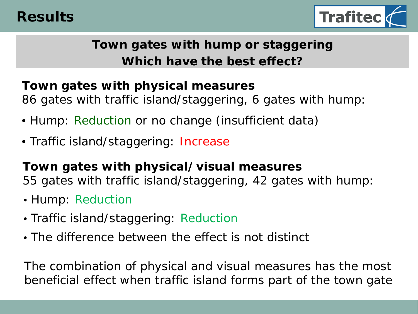

## **Town gates with hump or staggering Which have the best effect?**

#### **Town gates with physical measures**

86 gates with traffic island/staggering, 6 gates with hump:

- Hump: Reduction or no change (insufficient data)
- Traffic island/staggering: Increase

**Town gates with physical/visual measures** 55 gates with traffic island/staggering, 42 gates with hump:

- Hump: Reduction
- Traffic island/staggering: Reduction
- The difference between the effect is not distinct

The combination of physical and visual measures has the most beneficial effect when traffic island forms part of the town gate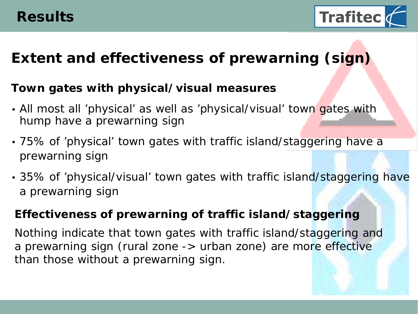

# **Extent and effectiveness of prewarning (sign)**

#### **Town gates with physical/visual measures**

- All most all 'physical' as well as 'physical/visual' town gates with hump have a prewarning sign
- 75% of 'physical' town gates with traffic island/staggering have a prewarning sign
- 35% of 'physical/visual' town gates with traffic island/staggering have a prewarning sign

#### **Effectiveness of prewarning of traffic island/staggering**

Nothing indicate that town gates with traffic island/staggering and a prewarning sign (rural zone -> urban zone) are more effective than those *without* a prewarning sign.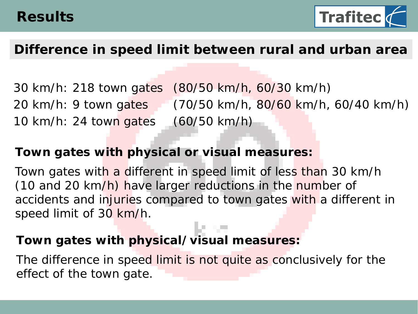

## **Difference in speed limit between rural and urban area**

30 km/h: 218 town gates (80/50 km/h, 60/30 km/h) 20 km/h: 9 town gates (70/50 km/h, 80/60 km/h, 60/40 km/h) 10 km/h: 24 town gates (60/50 km/h)

#### **Town gates with physical or visual measures:**

Town gates with a different in speed limit of less than 30 km/h (10 and 20 km/h) have larger reductions in the number of accidents and injuries compared to town gates with a different in speed limit of 30 km/h.

#### **Town gates with physical/visual measures:**

The difference in speed limit is not quite as conclusively for the effect of the town gate.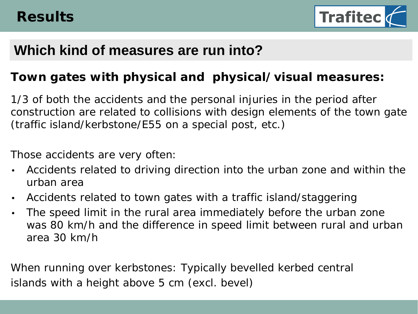

## **Which kind of measures are run into?**

#### **Town gates with physical and physical/visual measures:**

1/3 of both the accidents and the personal injuries in the period after construction are related to collisions with design elements of the town gate (traffic island/kerbstone/E55 on a special post, etc.)

Those accidents are very often:

- Accidents related to driving direction *into* the urban zone and within the urban area
- Accidents related to town gates with a traffic island/staggering
- The speed limit in the rural area immediately before the urban zone was 80 km/h and the difference in speed limit between rural and urban area 30 km/h

When running over kerbstones: Typically bevelled kerbed central islands with a height above 5 cm (excl. bevel)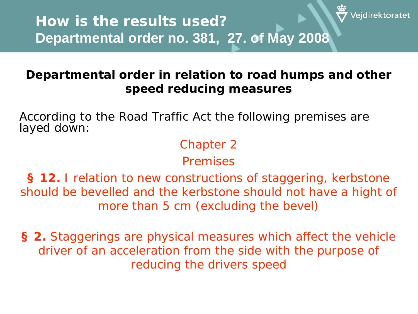### **Departmental order in relation to road humps and other speed reducing measures**

/eidirektoratet

According to the Road Traffic Act the following premises are layed down:

## Chapter 2

### *Premises*

**§ 12.** I relation to new constructions of staggering, kerbstone should be bevelled and the kerbstone should not have a hight of more than 5 cm (excluding the bevel)

**§ 2.** Staggerings are physical measures which affect the vehicle driver of an acceleration from the side with the purpose of reducing the drivers speed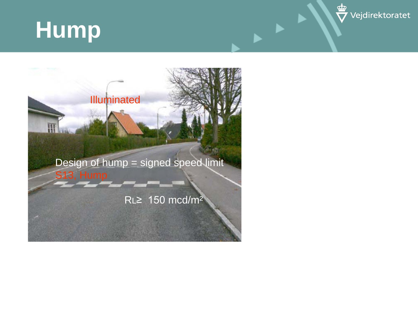# **Hump**



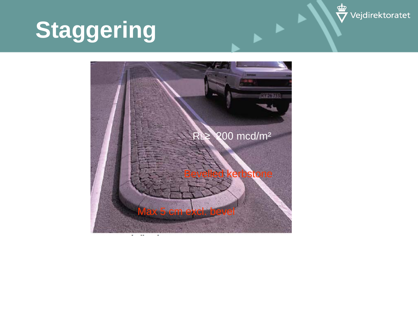

# **Staggering**

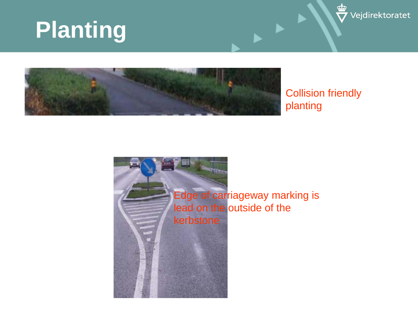# **Planting**





#### Collision friendly planting

Edge of carriageway marking is lead on the outside of the

kerbstone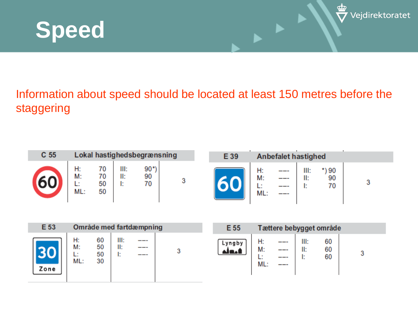



### Information about speed should be located at least 150 metres before the staggering

| C <sub>55</sub> | Lokal hastighedsbegrænsning |                |                   |                |  |  |  |  |  |
|-----------------|-----------------------------|----------------|-------------------|----------------|--|--|--|--|--|
|                 | H:<br>M:<br>ML:             | 70<br>50<br>50 | III:<br>II:<br>ŀ. | 90<br>90<br>70 |  |  |  |  |  |

| E 39 | <b>Anbefalet hastighed</b> |  |                   |    |  |  |  |
|------|----------------------------|--|-------------------|----|--|--|--|
|      | H:<br>M:<br>œ<br>ML:       |  | III:<br>II:<br>I: | 70 |  |  |  |

 $\mathbf{r}$ 

| E 53 | Område med fartdæmpning |                      |                  |                      |  | E 55              |                 | Tættere bebygget område     |             |                |  |
|------|-------------------------|----------------------|------------------|----------------------|--|-------------------|-----------------|-----------------------------|-------------|----------------|--|
| Zone | H:<br>M:<br>L:<br>ML:   | 60<br>50<br>50<br>30 | III:<br>II:<br>Е | ----<br>----<br>---- |  | Lyngby<br>المتلاف | H:<br>M:<br>ML: | ----<br>---<br>----<br>---- | III:<br>II: | 60<br>60<br>60 |  |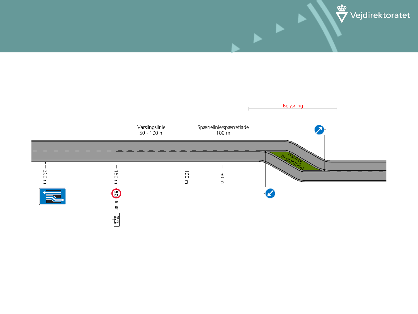